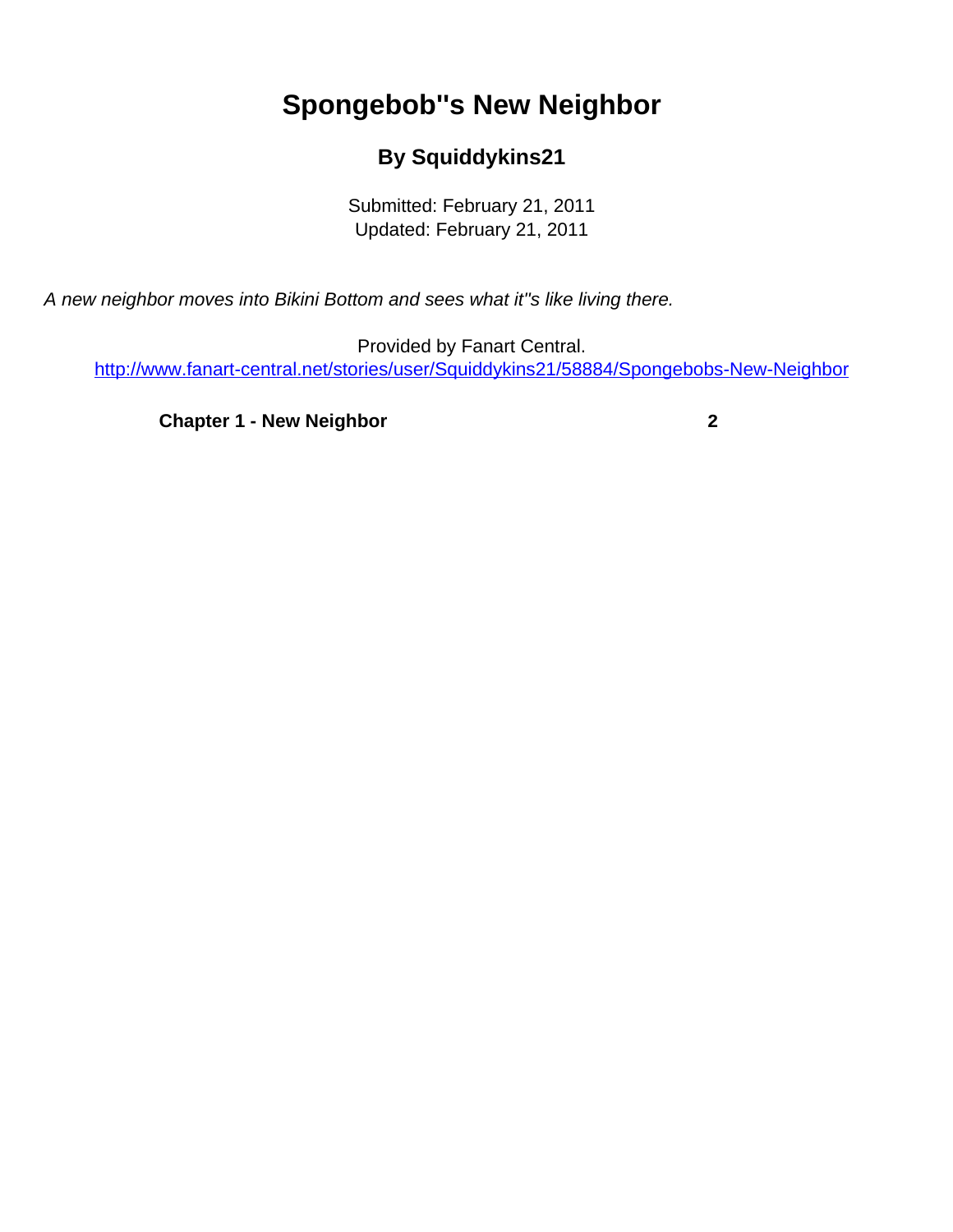## **Spongebob''s New Neighbor**

## **By Squiddykins21**

Submitted: February 21, 2011 Updated: February 21, 2011

<span id="page-0-0"></span>A new neighbor moves into Bikini Bottom and sees what it''s like living there.

Provided by Fanart Central. [http://www.fanart-central.net/stories/user/Squiddykins21/58884/Spongebobs-New-Neighbor](#page-0-0)

**[Chapter 1 - New Neighbor](#page-1-0) [2](#page-1-0)**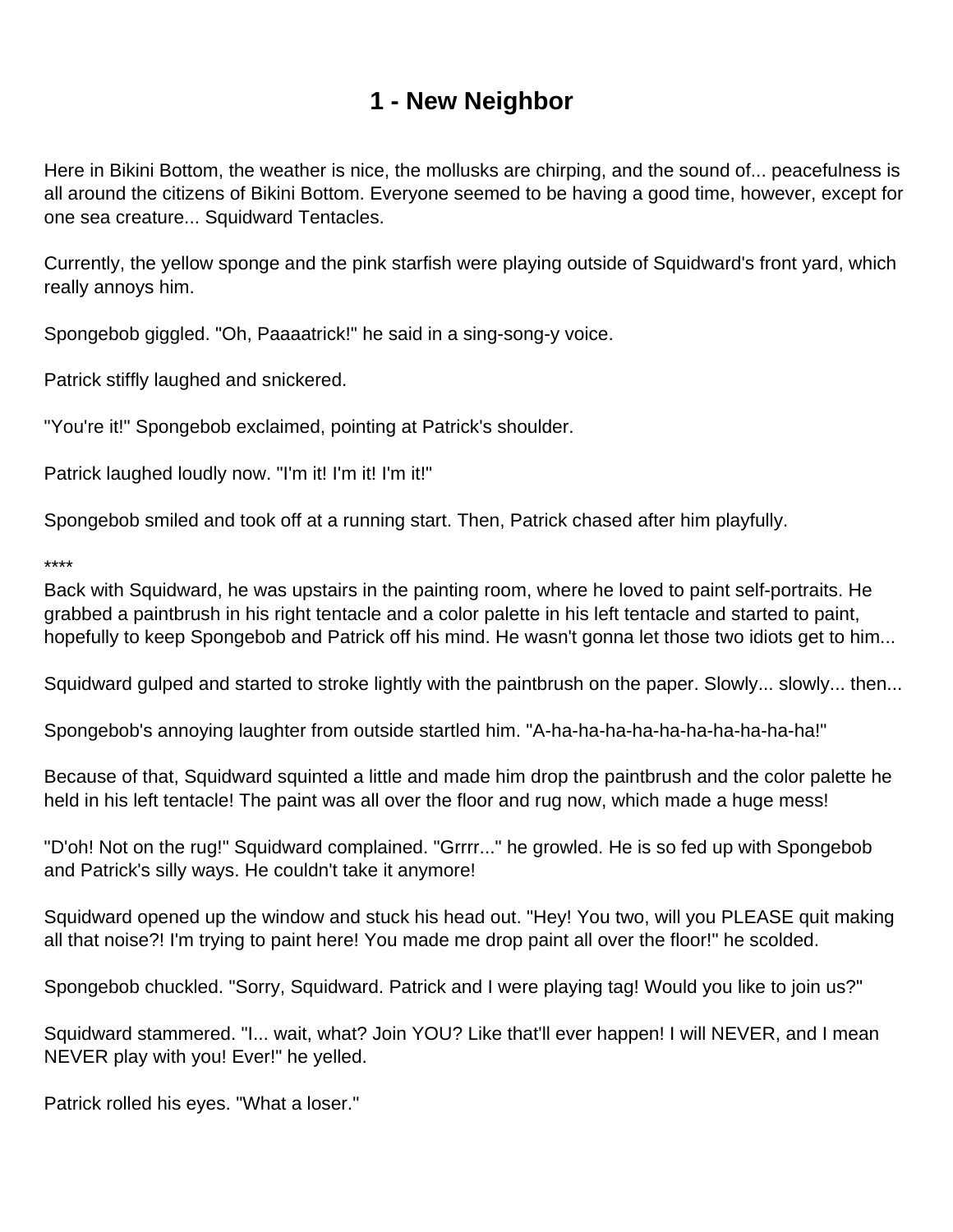## **1 - New Neighbor**

<span id="page-1-0"></span>Here in Bikini Bottom, the weather is nice, the mollusks are chirping, and the sound of... peacefulness is all around the citizens of Bikini Bottom. Everyone seemed to be having a good time, however, except for one sea creature... Squidward Tentacles.

Currently, the yellow sponge and the pink starfish were playing outside of Squidward's front yard, which really annoys him.

Spongebob giggled. "Oh, Paaaatrick!" he said in a sing-song-y voice.

Patrick stiffly laughed and snickered.

"You're it!" Spongebob exclaimed, pointing at Patrick's shoulder.

Patrick laughed loudly now. "I'm it! I'm it! I'm it!"

Spongebob smiled and took off at a running start. Then, Patrick chased after him playfully.

\*\*\*\*

Back with Squidward, he was upstairs in the painting room, where he loved to paint self-portraits. He grabbed a paintbrush in his right tentacle and a color palette in his left tentacle and started to paint, hopefully to keep Spongebob and Patrick off his mind. He wasn't gonna let those two idiots get to him...

Squidward gulped and started to stroke lightly with the paintbrush on the paper. Slowly... slowly... then...

Spongebob's annoying laughter from outside startled him. "A-ha-ha-ha-ha-ha-ha-ha-ha-ha-ha!"

Because of that, Squidward squinted a little and made him drop the paintbrush and the color palette he held in his left tentacle! The paint was all over the floor and rug now, which made a huge mess!

"D'oh! Not on the rug!" Squidward complained. "Grrrr..." he growled. He is so fed up with Spongebob and Patrick's silly ways. He couldn't take it anymore!

Squidward opened up the window and stuck his head out. "Hey! You two, will you PLEASE quit making all that noise?! I'm trying to paint here! You made me drop paint all over the floor!" he scolded.

Spongebob chuckled. "Sorry, Squidward. Patrick and I were playing tag! Would you like to join us?"

Squidward stammered. "I... wait, what? Join YOU? Like that'll ever happen! I will NEVER, and I mean NEVER play with you! Ever!" he yelled.

Patrick rolled his eyes. "What a loser."